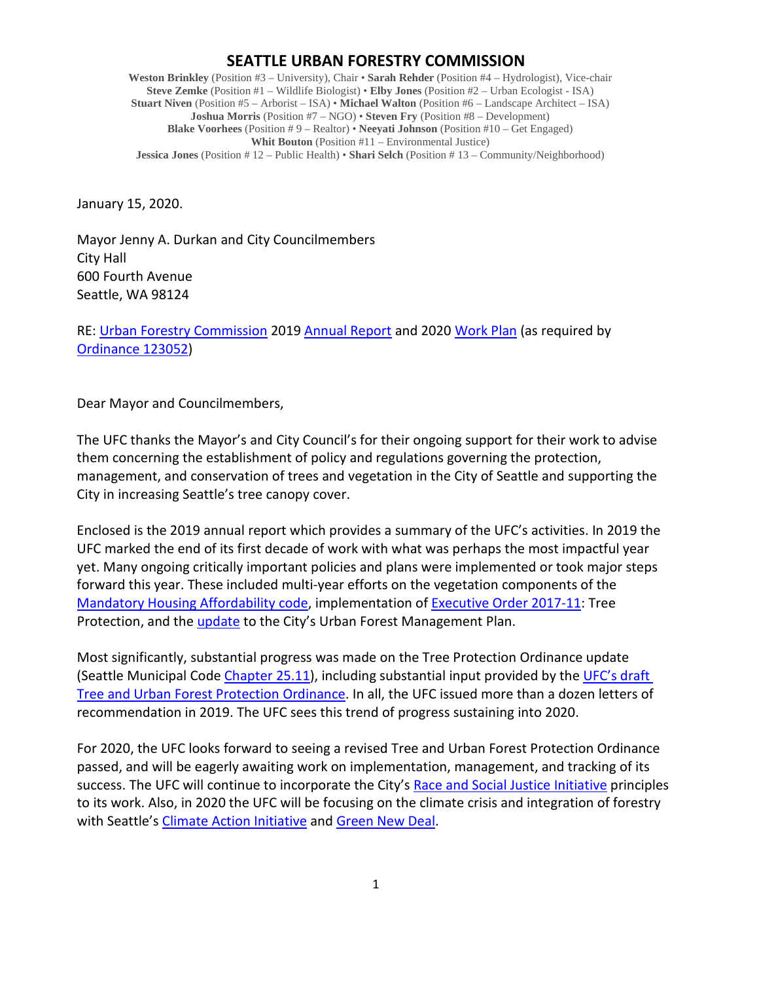## **SEATTLE URBAN FORESTRY COMMISSION**

**Weston Brinkley** (Position #3 – University), Chair • **Sarah Rehder** (Position #4 – Hydrologist), Vice-chair **Steve Zemke** (Position #1 – Wildlife Biologist) • **Elby Jones** (Position #2 – Urban Ecologist - ISA) **Stuart Niven** (Position #5 – Arborist – ISA) • **Michael Walton** (Position #6 – Landscape Architect – ISA) **Joshua Morris** (Position #7 – NGO) • **Steven Fry** (Position #8 – Development) **Blake Voorhees** (Position # 9 – Realtor) • **Neeyati Johnson** (Position #10 – Get Engaged) **Whit Bouton** (Position #11 – Environmental Justice) **Jessica Jones** (Position # 12 – Public Health) • **Shari Selch** (Position # 13 – Community/Neighborhood)

January 15, 2020.

Mayor Jenny A. Durkan and City Councilmembers City Hall 600 Fourth Avenue Seattle, WA 98124

RE: [Urban Forestry Commission](http://www.seattle.gov/urbanforestrycommission) 2019 [Annual Report](http://www.seattle.gov/Documents/Departments/UrbanForestryCommission/FinalIssuedDocuments/AnnualReports/ADOPTEDUFCAnnualReport2019.pdf) and 202[0 Work Plan](http://www.seattle.gov/Documents/Departments/UrbanForestryCommission/FinalIssuedDocuments/WorkPlans/ADOPTED2020workplan010820.pdf) (as required by [Ordinance](http://clerk.ci.seattle.wa.us/search/ordinances/123052) 123052)

Dear Mayor and Councilmembers,

The UFC thanks the Mayor's and City Council's for their ongoing support for their work to advise them concerning the establishment of policy and regulations governing the protection, management, and conservation of trees and vegetation in the City of Seattle and supporting the City in increasing Seattle's tree canopy cover.

Enclosed is the 2019 annual report which provides a summary of the UFC's activities. In 2019 the UFC marked the end of its first decade of work with what was perhaps the most impactful year yet. Many ongoing critically important policies and plans were implemented or took major steps forward this year. These included multi-year efforts on the vegetation components of the [Mandatory Housing Affordability code,](https://library.municode.com/wa/seattle/codes/municipal_code?nodeId=TIT23LAUSCO_SUBTITLE_IIILAUSRE_CH23.48SEMI_SUBCHAPTER_IISOLAUNPR_23.48.223MAHOAFMHPR) implementation of [Executive Order 2017-11:](http://www.seattle.gov/Documents/Departments/UrbanForestryCommission/2018/2018docs/TreeExecOrder2017-11FINAL.pdf) Tree Protection, and the [update](http://www.seattle.gov/trees/management) to the City's Urban Forest Management Plan.

Most significantly, substantial progress was made on the Tree Protection Ordinance update (Seattle Municipal Code [Chapter 25.11\)](https://library.municode.com/wa/seattle/codes/municipal_code?nodeId=TIT25ENPRHIPR_CH25.11TRPR), including substantial input provided by the [UFC's draft](http://www.seattle.gov/Documents/Departments/UrbanForestryCommission/Resources/OutlineandDraftUFCTreeProtectionRegs070219FullDocCorrected.pdf)  Tree and Urban Forest Protection Ordinance</u>. In all, the UFC issued more than a dozen letters of recommendation in 2019. The UFC sees this trend of progress sustaining into 2020.

For 2020, the UFC looks forward to seeing a revised Tree and Urban Forest Protection Ordinance passed, and will be eagerly awaiting work on implementation, management, and tracking of its success. The UFC will continue to incorporate the City's [Race and Social Justice Initiative](http://www.seattle.gov/rsji) principles to its work. Also, in 2020 the UFC will be focusing on the climate crisis and integration of forestry with Seattle's [Climate Action Initiative](http://greenspace.seattle.gov/wp-content/uploads/2018/04/SeaClimateAction_April2018.pdf) and [Green New Deal.](http://seattle.legistar.com/LegislationDetail.aspx?ID=4078775&GUID=A91E660A-1F3A-4545-8D24-281916F6EDB4)